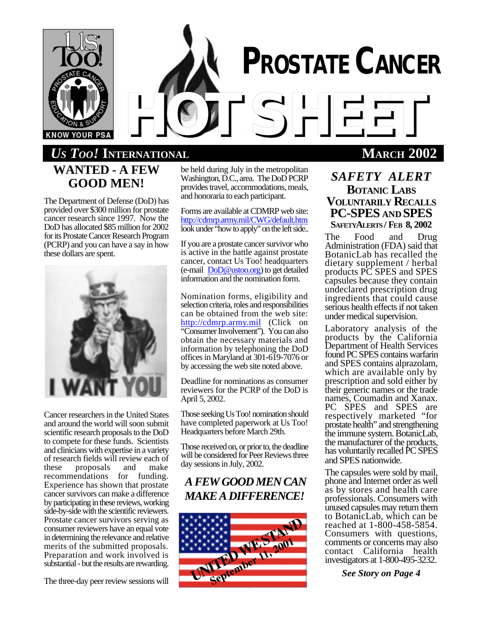

# *HOTSHEET US TOO!* **INTERNATIONAL MARCH 2002 WANTED - A FEW GOOD MEN!**

The Department of Defense (DoD) has provided over \$300 million for prostate cancer research since 1997. Now the DoD has allocated \$85 million for 2002 for its Prostate Cancer Research Program (PCRP) and you can have a say in how these dollars are spent.



Cancer researchers in the United States and around the world will soon submit scientific research proposals to the DoD to compete for these funds. Scientists and clinicians with expertise in a variety of research fields will review each of<br>these proposals and make proposals recommendations for funding. Experience has shown that prostate cancer survivors can make a difference by participating in these reviews, working side-by-side with the scientific reviewers. Prostate cancer survivors serving as consumer reviewers have an equal vote in determining the relevance and relative merits of the submitted proposals. Preparation and work involved is substantial - but the results are rewarding.

The three-day peer review sessions will

be held during July in the metropolitan Washington, D.C., area. The DoD PCRP provides travel, accommodations, meals, and honoraria to each participant.

Forms are available at CDMRP web site: http://cdmrp.army.mil/CWG/default.htm look under "how to apply" on the left side..

If you are a prostate cancer survivor who is active in the battle against prostate cancer, contact Us Too! headquarters (e-mail DoD@ustoo.org) to get detailed information and the nomination form.

Nomination forms, eligibility and selection criteria, roles and responsibilities can be obtained from the web site: http://cdmrp.army.mil (Click on "Consumer Involvement"). You can also obtain the necessary materials and information by telephoning the DoD offices in Maryland at 301-619-7076 or by accessing the web site noted above.

Deadline for nominations as consumer reviewers for the PCRP of the DoD is April 5, 2002.

Those seeking Us Too! nomination should have completed paperwork at Us Too! Headquarters before March 29th.

Those received on, or prior to, the deadline will be considered for Peer Reviews three day sessions in July, 2002.

# *A FEW GOOD MEN CAN MAKE A DIFFERENCE!*



# *SAFETY ALERT* **BOTANIC LABS VOLUNTARILY RECALLS PC-SPES AND SPES SAFETYALERTS / FEB 8, 2002**

**PROSTATE CANCER**

The Food and Drug Administration (FDA) said that BotanicLab has recalled the dietary supplement / herbal products PC SPES and SPES capsules because they contain undeclared prescription drug ingredients that could cause serious health effects if not taken under medical supervision.

Laboratory analysis of the products by the California Department of Health Services found PC SPES contains warfarin and SPES contains alprazolam, which are available only by prescription and sold either by their generic names or the trade names, Coumadin and Xanax. PC SPES and SPES are respectively marketed "for prostate health" and strengthening the immune system. BotanicLab, the manufacturer of the products, has voluntarily recalled PC SPES and SPES nationwide.

The capsules were sold by mail, phone and Internet order as well as by stores and health care professionals. Consumers with unused capsules may return them to BotanicLab, which can be reached at 1-800-458-5854. Consumers with questions, comments or concerns may also contact California health investigators at 1-800-495-3232.

*See Story on Page 4*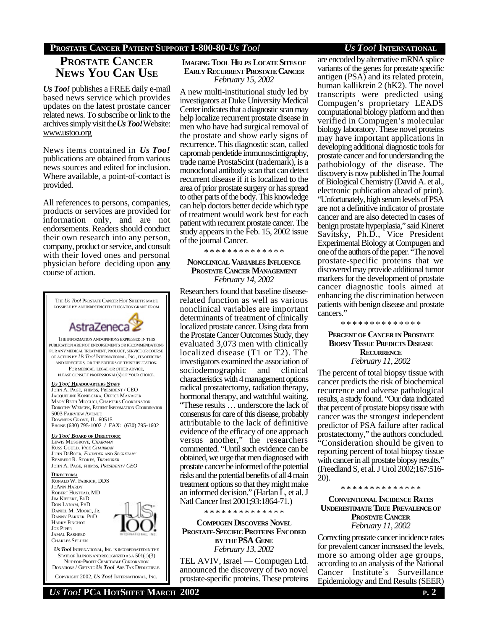### **PROSTATE CANCER PATIENT SUPPORT 1-800-80-***US TOO! US TOO!* **INTERNATIONAL**

# **PROSTATE CANCER NEWS YOU CAN USE**

*Us Too!* publishes a FREE daily e-mail based news service which provides updates on the latest prostate cancer related news. To subscribe or link to the archives simply visit the *Us Too!* Website: www.ustoo.org

News items contained in *Us Too!* publications are obtained from various news sources and edited for inclusion. Where available, a point-of-contact is provided.

All references to persons, companies, products or services are provided for information only, and are not endorsements. Readers should conduct their own research into any person, company, product or service, and consult with their loved ones and personal physician before deciding upon **any** course of action.



### **IMAGING TOOL HELPS LOCATE SITESOF EARLY RECURRENT PROSTATE CANCER** *February 15, 2002*

A new multi-institutional study led by investigators at Duke University Medical Center indicates that a diagnostic scan may help localize recurrent prostate disease in men who have had surgical removal of the prostate and show early signs of recurrence. This diagnostic scan, called capromab pendetide immunoscintigraphy, trade name ProstaScint (trademark), is a monoclonal antibody scan that can detect recurrent disease if it is localized to the area of prior prostate surgery or has spread to other parts of the body. This knowledge can help doctors better decide which type of treatment would work best for each patient with recurrent prostate cancer. The study appears in the Feb. 15, 2002 issue of the journal Cancer.

\* \* \* \* \* \* \* \* \* \* \* \* \* \*

### **NONCLINICAL VARIABLES INFLUENCE PROSTATE CANCER MANAGEMENT** *February 14, 2002*

Researchers found that baseline diseaserelated function as well as various nonclinical variables are important determinants of treatment of clinically localized prostate cancer. Using data from the Prostate Cancer Outcomes Study, they evaluated 3,073 men with clinically localized disease (T1 or T2). The investigators examined the association of sociodemographic and clinical characteristics with 4 management options radical prostatectomy, radiation therapy, hormonal therapy, and watchful waiting. "These results … underscore the lack of consensus for care of this disease, probably attributable to the lack of definitive evidence of the efficacy of one approach versus another," the researchers commented. "Until such evidence can be obtained, we urge that men diagnosed with prostate cancer be informed of the potential risks and the potential benefits of all 4 main treatment options so that they might make an informed decision." (Harlan L, et al. J Natl Cancer Inst 2001;93:1864-71.)

\* \* \* \* \* \* \* \* \* \* \* \* \* \*

### **COMPUGEN DISCOVERS NOVEL PROSTATE-SPECIFIC PROTEINS ENCODED BY THE PSA GENE** *February 13, 2002*

TEL AVIV, Israel — Compugen Ltd. announced the discovery of two novel prostate-specific proteins. These proteins are encoded by alternative mRNA splice variants of the genes for prostate specific antigen (PSA) and its related protein, human kallikrein 2 (hK2). The novel transcripts were predicted using Compugen's proprietary LEADS computational biology platform and then verified in Compugen's molecular biology laboratory. These novel proteins may have important applications in developing additional diagnostic tools for prostate cancer and for understanding the pathobiology of the disease. The discovery is now published in The Journal of Biological Chemistry (David A. et al., electronic publication ahead of print). "Unfortunately, high serum levels of PSA are not a definitive indicator of prostate cancer and are also detected in cases of benign prostate hyperplasia," said Kineret Savitsky, Ph.D., Vice President Experimental Biology at Compugen and one of the authors of the paper. "The novel prostate-specific proteins that we discovered may provide additional tumor markers for the development of prostate cancer diagnostic tools aimed at enhancing the discrimination between patients with benign disease and prostate cancers."

### **PERCENT OF CANCER IN PROSTATE BIOPSY TISSUE PREDICTS DISEASE RECURRENCE** *February 11, 2002*

\* \* \* \* \* \* \* \* \* \* \* \* \* \*

The percent of total biopsy tissue with cancer predicts the risk of biochemical recurrence and adverse pathological results, a study found. "Our data indicated that percent of prostate biopsy tissue with cancer was the strongest independent predictor of PSA failure after radical prostatectomy," the authors concluded. "Consideration should be given to reporting percent of total biopsy tissue with cancer in all prostate biopsy results." (Freedland S, et al. J Urol 2002;167:516- 20).

\* \* \* \* \* \* \* \* \* \* \* \* \* \*

**CONVENTIONAL INCIDENCE RATES UNDERESTIMATE TRUE PREVALENCEOF PROSTATE CANCER** *February 11, 2002*

Correcting prostate cancer incidence rates for prevalent cancer increased the levels, more so among older age groups, according to an analysis of the National Cancer Institute's Surveillance Epidemiology and End Results (SEER)

### *US TOO!* **PCA HOTSHEET MARCH 2002 P. 2**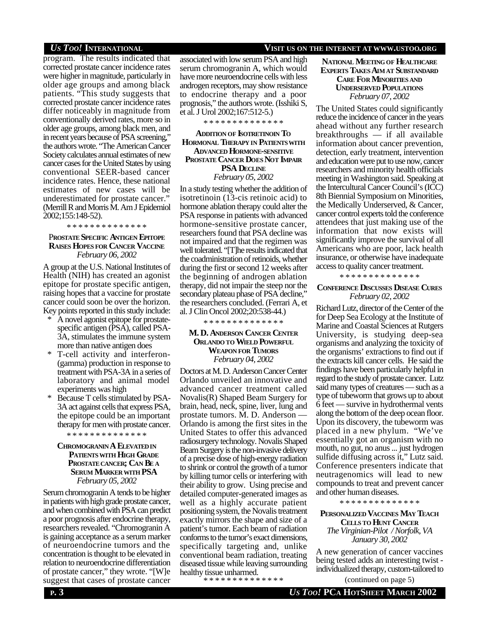program. The results indicated that corrected prostate cancer incidence rates were higher in magnitude, particularly in older age groups and among black patients. "This study suggests that corrected prostate cancer incidence rates differ noticeably in magnitude from conventionally derived rates, more so in older age groups, among black men, and in recent years because of PSA screening," the authors wrote. "The American Cancer Society calculates annual estimates of new cancer cases for the United States by using conventional SEER-based cancer incidence rates. Hence, these national estimates of new cases will be underestimated for prostate cancer." (Merrill R and Morris M. Am J Epidemiol 2002;155:148-52).

\* \* \* \* \* \* \* \* \* \* \* \* \* \*

### P**ROSTATE SPECIFIC ANTIGEN EPITOPE RAISES HOPES FOR CANCER VACCINE** *February 06, 2002*

A group at the U.S. National Institutes of Health (NIH) has created an agonist epitope for prostate specific antigen, raising hopes that a vaccine for prostate cancer could soon be over the horizon. Key points reported in this study include:

- A novel agonist epitope for prostatespecific antigen (PSA), called PSA-3A, stimulates the immune system more than native antigen does
- T-cell activity and interferon-(gamma) production in response to treatment with PSA-3A in a series of laboratory and animal model experiments was high
- \* Because T cells stimulated by PSA-3A act against cells that express PSA, the epitope could be an important therapy for men with prostate cancer.

\* \* \* \* \* \* \* \* \* \* \* \* \* \*

### **CHROMOGRANIN A ELEVATEDIN PATIENTSWITH HIGH GRADE PROSTATECANCER; CAN BE A SERUM MARKERWITH PSA** *February 05, 2002*

Serum chromogranin A tends to be higher in patients with high grade prostate cancer, and when combined with PSA can predict a poor prognosis after endocrine therapy, researchers revealed. "Chromogranin A is gaining acceptance as a serum marker of neuroendocrine tumors and the concentration is thought to be elevated in relation to neuroendocrine differentiation of prostate cancer," they wrote. "[W]e suggest that cases of prostate cancer

### associated with low serum PSA and high serum chromogranin A, which would have more neuroendocrine cells with less androgen receptors, may show resistance to endocrine therapy and a poor prognosis," the authors wrote. (Isshiki S, et al. J Urol 2002;167:512-5.)

\* \* \* \* \* \* \* \* \* \* \* \* \* \*

### **ADDITION OF ISOTRETINOIN TO HORMONAL THERAPY IN PATIENTSWITH ADVANCED HORMONE-SENSITIVE PROSTATE CANCER DOES NOT IMPAIR PSA DECLINE** *February 05, 2002*

In a study testing whether the addition of isotretinoin (13-cis retinoic acid) to hormone ablation therapy could alter the PSA response in patients with advanced hormone-sensitive prostate cancer, researchers found that PSA decline was not impaired and that the regimen was well tolerated. "[T]he results indicated that the coadministration of retinoids, whether during the first or second 12 weeks after the beginning of androgen ablation therapy, did not impair the steep nor the secondary plateau phase of PSA decline," the researchers concluded. (Ferrari A, et al. J Clin Oncol 2002;20:538-44.)

\* \* \* \* \* \* \* \* \* \* \* \* \* \*

### **M. D. ANDERSON CANCER CENTER ORLANDO TO WIELD POWERFUL WEAPON FOR TUMORS** *February 04, 2002*

Doctors at M. D. Anderson Cancer Center Orlando unveiled an innovative and advanced cancer treatment called Novalis(R) Shaped Beam Surgery for brain, head, neck, spine, liver, lung and prostate tumors. M. D. Anderson — Orlando is among the first sites in the United States to offer this advanced radiosurgery technology. Novalis Shaped Beam Surgery is the non-invasive delivery of a precise dose of high-energy radiation to shrink or control the growth of a tumor by killing tumor cells or interfering with their ability to grow. Using precise and detailed computer-generated images as well as a highly accurate patient positioning system, the Novalis treatment exactly mirrors the shape and size of a patient's tumor. Each beam of radiation conforms to the tumor's exact dimensions, specifically targeting and, unlike conventional beam radiation, treating diseased tissue while leaving surrounding healthy tissue unharmed. \* \* \* \* \* \* \* \* \* \* \* \* \* \*

### *US TOO!* **INTERNATIONAL VISIT US ON THE INTERNET AT WWW.USTOO.ORG**

**NATIONAL MEETING OF HEALTHCARE EXPERTS TAKES AIMAT SUBSTANDARD CARE FOR MINORITIES AND UNDERSERVED POPULATIONS** *February 07, 2002*

The United States could significantly reduce the incidence of cancer in the years ahead without any further research breakthroughs — if all available information about cancer prevention, detection, early treatment, intervention and education were put to use now, cancer researchers and minority health officials meeting in Washington said. Speaking at the Intercultural Cancer Council's (ICC) 8th Biennial Symposium on Minorities, the Medically Underserved, & Cancer, cancer control experts told the conference attendees that just making use of the information that now exists will significantly improve the survival of all Americans who are poor, lack health insurance, or otherwise have inadequate access to quality cancer treatment.

\* \* \* \* \* \* \* \* \* \* \* \* \* \*

### **CONFERENCE DISCUSSES DISEASE CURES** *February 02, 2002*

Richard Lutz, director of the Center of the for Deep Sea Ecology at the Institute of Marine and Coastal Sciences at Rutgers University, is studying deep-sea organisms and analyzing the toxicity of the organisms' extractions to find out if the extracts kill cancer cells. He said the findings have been particularly helpful in regard to the study of prostate cancer. Lutz said many types of creatures — such as a type of tubeworm that grows up to about 6 feet — survive in hydrothermal vents along the bottom of the deep ocean floor. Upon its discovery, the tubeworm was placed in a new phylum. "We've essentially got an organism with no mouth, no gut, no anus ... just hydrogen sulfide diffusing across it," Lutz said. Conference presenters indicate that neutragenomics will lead to new compounds to treat and prevent cancer and other human diseases.

\* \* \* \* \* \* \* \* \* \* \* \* \* \*

### **PERSONALIZED VACCINES MAY TEACH CELLS TO HUNT CANCER** *The Virginian-Pilot / Norfolk, VA January 30, 2002*

A new generation of cancer vaccines being tested adds an interesting twist individualized therapy, custom-tailored to

(continued on page 5)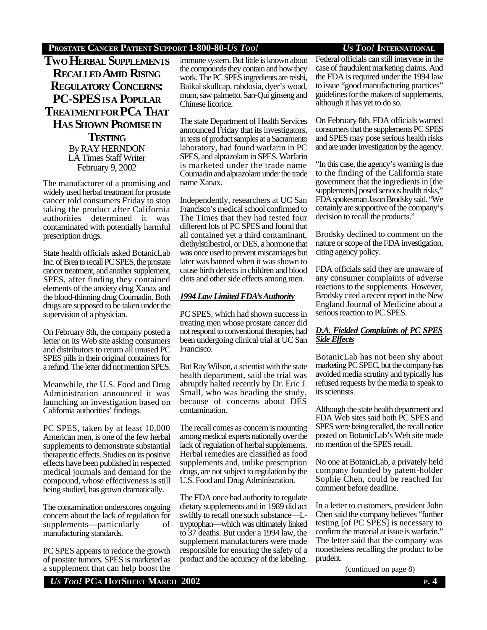### **PROSTATE CANCER PATIENT SUPPORT 1-800-80-***US TOO! US TOO!* **INTERNATIONAL**

**TWO HERBAL SUPPLEMENTS RECALLED AMID RISING REGULATORY CONCERNS: PC-SPES ISA POPULAR TREATMENTFOR PCA THAT HAS SHOWN PROMISEIN TESTING** By RAY HERNDON LA Times Staff Writer February 9, 2002

The manufacturer of a promising and widely used herbal treatment for prostate cancer told consumers Friday to stop taking the product after California authorities determined it was contaminated with potentially harmful prescription drugs.

State health officials asked BotanicLab Inc. of Brea to recall PC SPES, the prostate cancer treatment, and another supplement, SPES, after finding they contained elements of the anxiety drug Xanax and the blood-thinning drug Coumadin. Both drugs are supposed to be taken under the supervision of a physician.

On February 8th, the company posted a letter on its Web site asking consumers and distributors to return all unused PC SPES pills in their original containers for a refund. The letter did not mention SPES.

Meanwhile, the U.S. Food and Drug Administration announced it was launching an investigation based on California authorities' findings.

PC SPES, taken by at least 10,000 American men, is one of the few herbal supplements to demonstrate substantial therapeutic effects. Studies on its positive effects have been published in respected medical journals and demand for the compound, whose effectiveness is still being studied, has grown dramatically.

The contamination underscores ongoing concern about the lack of regulation for supplements—particularly of manufacturing standards.

PC SPES appears to reduce the growth of prostate tumors. SPES is marketed as a supplement that can help boost the

immune system. But little is known about the compounds they contain and how they work. The PC SPES ingredients are reishi, Baikal skullcap, rabdosia, dyer's woad, mum, saw palmetto, San-Qui ginseng and Chinese licorice.

The state Department of Health Services announced Friday that its investigators, in tests of product samples at a Sacramento laboratory, had found warfarin in PC SPES, and alprazolam in SPES. Warfarin is marketed under the trade name Coumadin and alprazolam under the trade name Xanax.

Independently, researchers at UC San Francisco's medical school confirmed to The Times that they had tested four different lots of PC SPES and found that all contained yet a third contaminant, diethylstilbestrol, or DES, a hormone that was once used to prevent miscarriages but later was banned when it was shown to cause birth defects in children and blood clots and other side effects among men.

### **1994 Law Limited FDA's Authority**

PC SPES, which had shown success in treating men whose prostate cancer did not respond to conventional therapies, had been undergoing clinical trial at UC San Francisco.

But Ray Wilson, a scientist with the state health department, said the trial was abruptly halted recently by Dr. Eric J. Small, who was heading the study, because of concerns about DES contamination.

The recall comes as concern is mounting among medical experts nationally over the lack of regulation of herbal supplements. Herbal remedies are classified as food supplements and, unlike prescription drugs, are not subject to regulation by the U.S. Food and Drug Administration.

The FDA once had authority to regulate dietary supplements and in 1989 did act swiftly to recall one such substance—Ltryptophan—which was ultimately linked to 37 deaths. But under a 1994 law, the supplement manufacturers were made responsible for ensuring the safety of a product and the accuracy of the labeling.

Federal officials can still intervene in the case of fraudulent marketing claims. And the FDA is required under the 1994 law to issue "good manufacturing practices" guidelines for the makers of supplements, although it has yet to do so.

On February 8th, FDA officials warned consumers that the supplements PC SPES and SPES may pose serious health risks and are under investigation by the agency.

"In this case, the agency's warning is due to the finding of the California state government that the ingredients in [the supplements] posed serious health risks," FDA spokesman Jason Brodsky said. "We certainly are supportive of the company's decision to recall the products."

Brodsky declined to comment on the nature or scope of the FDA investigation, citing agency policy.

FDA officials said they are unaware of any consumer complaints of adverse reactions to the supplements. However, Brodsky cited a recent report in the New England Journal of Medicine about a serious reaction to PC SPES.

### *D.A. Fielded Complaints of PC SPES Side Ef ects*

BotanicLab has not been shy about marketing PC SPEC, but the company has avoided media scrutiny and typically has refused requests by the media to speak to its scientists.

Although the state health department and FDA Web sites said both PC SPES and SPES were being recalled, the recall notice posted on BotanicLab's Web site made no mention of the SPES recall.

No one at BotanicLab, a privately held company founded by patent-holder Sophie Chen, could be reached for comment before deadline.

In a letter to customers, president John Chen said the company believes "further testing [of PC SPES] is necessary to confirm the material at issue is warfarin." The letter said that the company was nonetheless recalling the product to be prudent.

(continued on page 8)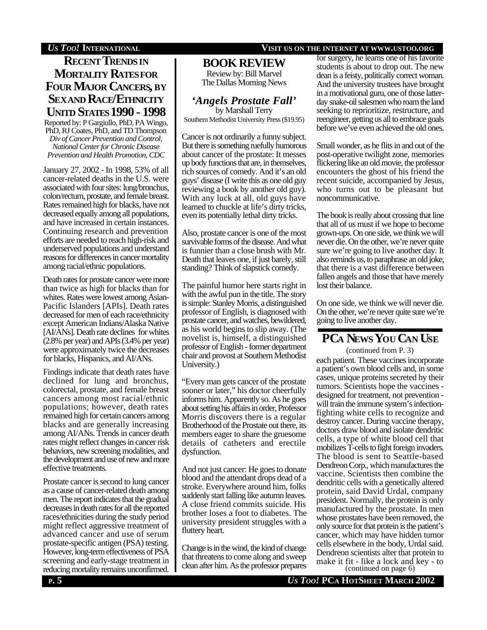# **RECENT TRENDS IN MORTALITY RATESFOR FOUR MAJOR CANCERS, BY SEXAND RACE/ETHNICITY UNITD STATES 1990 - 1998**

Reported by: P Gargiullo, PhD, PA Wingo, PhD, RJ Coates, PhD, and TD Thompson *Div of Cancer Prevention and Control, National Center for Chronic Disease Prevention and Health Promotion, CDC*

January 27, 2002 - In 1998, 53% of all cancer-related deaths in the U.S. were associated with four sites: lung/bronchus, colon/rectum, prostate, and female breast. Rates remained high for blacks, have not decreased equally among all populations, and have increased in certain instances. Continuing research and prevention efforts are needed to reach high-risk and underserved populations and understand reasons for differences in cancer mortality among racial/ethnic populations.

Death rates for prostate cancer were more than twice as high for blacks than for whites. Rates were lowest among Asian-Pacific Islanders [APIs]. Death rates decreased for men of each race/ethnicity except American Indians/Alaska Native [AI/ANs]. Death rate declines for whites (2.8% per year) and APIs (3.4% per year) were approximately twice the decreases for blacks, Hispanics, and AI/ANs.

Findings indicate that death rates have declined for lung and bronchus, colorectal, prostate, and female breast cancers among most racial/ethnic populations; however, death rates remained high for certain cancers among blacks and are generally increasing among AI/ANs. Trends in cancer death rates might reflect changes in cancer risk behaviors, new screening modalities, and the development and use of new and more effective treatments.

Prostate cancer is second to lung cancer as a cause of cancer-related death among men. The report indicates that the gradual decreases in death rates for all the reported races/ethnicities during the study period might reflect aggressive treatment of advanced cancer and use of serum prostate-specific antigen (PSA) testing. However, long-term effectiveness of PSA screening and early-stage treatment in reducing mortality remains unconfirmed.

### **BOOK REVIEW**

Review by: Bill Marvel The Dallas Morning News

# *'Angels Prostate Fall'*

by Marshall Terry Southern Methodist University Press (\$19.95)

Cancer is not ordinarily a funny subject. But there is something ruefully humorous about cancer of the prostate: It messes up body functions that are, in themselves, rich sources of comedy. And it's an old guys' disease (I write this as one old guy reviewing a book by another old guy). With any luck at all, old guys have learned to chuckle at life's dirty tricks, even its potentially lethal dirty tricks.

Also, prostate cancer is one of the most survivable forms of the disease. And what is funnier than a close brush with Mr. Death that leaves one, if just barely, still standing? Think of slapstick comedy.

The painful humor here starts right in with the awful pun in the title. The story is simple: Stanley Morris, a distinguished professor of English, is diagnosed with prostate cancer, and watches, bewildered, as his world begins to slip away. (The novelist is, himself, a distinguished professor of English - former department chair and provost at Southern Methodist University.)

"Every man gets cancer of the prostate sooner or later," his doctor cheerfully informs him. Apparently so. As he goes about setting his affairs in order, Professor Morris discovers there is a regular Brotherhood of the Prostate out there, its members eager to share the gruesome details of catheters and erectile dysfunction.

And not just cancer: He goes to donate blood and the attendant drops dead of a stroke. Everywhere around him, folks suddenly start falling like autumn leaves. A close friend commits suicide. His brother loses a foot to diabetes. The university president struggles with a fluttery heart.

Change is in the wind, the kind of change that threatens to come along and sweep clean after him. As the professor prepares

### *US TOO!* **INTERNATIONAL VISIT US ON THE INTERNET AT WWW.USTOO.ORG**

for surgery, he learns one of his favorite students is about to drop out. The new dean is a feisty, politically correct woman. And the university trustees have brought in a motivational guru, one of those latterday snake-oil salesmen who roam the land seeking to reprioritize, restructure, and reengineer, getting us all to embrace goals before we've even achieved the old ones.

Small wonder, as he flits in and out of the post-operative twilight zone, memories flickering like an old movie, the professor encounters the ghost of his friend the recent suicide, accompanied by Jesus, who turns out to be pleasant but noncommunicative.

The book is really about crossing that line that all of us must if we hope to become grown-ups. On one side, we think we will never die. On the other, we're never quite sure we're going to live another day. It also reminds us, to paraphrase an old joke, that there is a vast difference between fallen angels and those that have merely lost their balance.

On one side, we think we will never die. On the other, we're never quite sure we're going to live another day.

# **PCA NEWS YOU CAN USE**

each patient. These vaccines incorporate a patient's own blood cells and, in some cases, unique proteins secreted by their tumors. Scientists hope the vaccines designed for treatment, not prevention will train the immune system's infectionfighting white cells to recognize and destroy cancer. During vaccine therapy, doctors draw blood and isolate dendritic cells, a type of white blood cell that mobilizes T-cells to fight foreign invaders. The blood is sent to Seattle-based Dendreon Corp., which manufactures the vaccine. Scientists then combine the dendritic cells with a genetically altered protein, said David Urdal, company president. Normally, the protein is only manufactured by the prostate. In men whose prostates have been removed, the only source for that protein is the patient's cancer, which may have hidden tumor cells elsewhere in the body, Urdal said. Dendreon scientists alter that protein to make it fit - like a lock and key - to (continued from P. 3) (continued on page 6)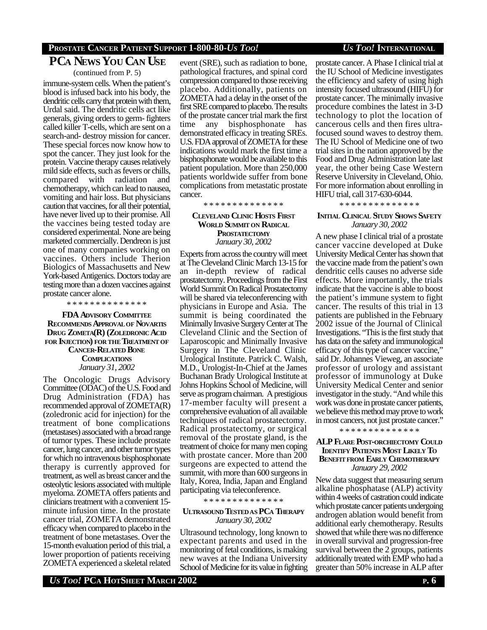### **PROSTATE CANCER PATIENT SUPPORT 1-800-80-***US TOO! US TOO!* **INTERNATIONAL**

# **PCA NEWS YOU CAN USE**

(continued from P. 5)

immune-system cells. When the patient's blood is infused back into his body, the dendritic cells carry that protein with them, Urdal said. The dendritic cells act like generals, giving orders to germ- fighters called killer T-cells, which are sent on a search-and- destroy mission for cancer. These special forces now know how to spot the cancer. They just look for the protein. Vaccine therapy causes relatively mild side effects, such as fevers or chills, compared with radiation and chemotherapy, which can lead to nausea, vomiting and hair loss. But physicians caution that vaccines, for all their potential, have never lived up to their promise. All the vaccines being tested today are considered experimental. None are being marketed commercially. Dendreon is just one of many companies working on vaccines. Others include Therion Biologics of Massachusetts and New York-based Antigenics. Doctors today are testing more than a dozen vaccines against prostate cancer alone.

\* \* \* \* \* \* \* \* \* \* \* \* \* \*

**FDA ADVISORY COMMITTEE RECOMMENDS APPROVALOF NOVARTIS DRUG ZOMETA(R) (ZOLEDRONIC ACID FOR INJECTION) FOR THE TREATMENT OF CANCER-RELATED BONE COMPLICATIONS** *January 31, 2002*

The Oncologic Drugs Advisory Committee (ODAC) of the U.S. Food and Drug Administration (FDA) has recommended approval of ZOMETA(R) (zoledronic acid for injection) for the treatment of bone complications (metastases) associated with a broad range of tumor types. These include prostate cancer, lung cancer, and other tumor types for which no intravenous bisphosphonate therapy is currently approved for treatment, as well as breast cancer and the osteolytic lesions associated with multiple myeloma. ZOMETA offers patients and clinicians treatment with a convenient 15 minute infusion time. In the prostate cancer trial, ZOMETA demonstrated efficacy when compared to placebo in the treatment of bone metastases. Over the 15-month evaluation period of this trial, a lower proportion of patients receiving ZOMETA experienced a skeletal related

event (SRE), such as radiation to bone, pathological fractures, and spinal cord compression compared to those receiving placebo. Additionally, patients on ZOMETA had a delay in the onset of the first SRE compared to placebo. The results of the prostate cancer trial mark the first time any bisphosphonate has demonstrated efficacy in treating SREs. U.S. FDA approval of ZOMETA for these indications would mark the first time a bisphosphonate would be available to this patient population. More than 250,000 patients worldwide suffer from bone complications from metastatic prostate cancer.

**CLEVELAND CLINIC HOSTS FIRST WORLD SUMMIT ON RADICAL PROSTATECTOMY** *January 30, 2002*

\* \* \* \* \* \* \* \* \* \* \* \* \* \*

Experts from across the country will meet at The Cleveland Clinic March 13-15 for an in-depth review of radical prostatectomy. Proceedings from the First World Summit On Radical Prostatectomy will be shared via teleconferencing with physicians in Europe and Asia. The summit is being coordinated the Minimally Invasive Surgery Center at The Cleveland Clinic and the Section of Laparoscopic and Minimally Invasive Surgery in The Cleveland Clinic Urological Institute. Patrick C. Walsh, M.D., Urologist-In-Chief at the James Buchanan Brady Urological Institute at Johns Hopkins School of Medicine, will serve as program chairman. A prestigious 17-member faculty will present a comprehensive evaluation of all available techniques of radical prostatectomy. Radical prostatectomy, or surgical removal of the prostate gland, is the treatment of choice for many men coping with prostate cancer. More than 200 surgeons are expected to attend the summit, with more than 600 surgeons in Italy, Korea, India, Japan and England participating via teleconference.

\* \* \* \* \* \* \* \* \* \* \* \* \* \*

### **ULTRASOUND TESTEDAS PCA THERAPY** *January 30, 2002*

Ultrasound technology, long known to expectant parents and used in the monitoring of fetal conditions, is making new waves at the Indiana University School of Medicine for its value in fighting prostate cancer. A Phase I clinical trial at the IU School of Medicine investigates the efficiency and safety of using high intensity focused ultrasound (HIFU) for prostate cancer. The minimally invasive procedure combines the latest in 3-D technology to plot the location of cancerous cells and then fires ultrafocused sound waves to destroy them. The IU School of Medicine one of two trial sites in the nation approved by the Food and Drug Administration late last year, the other being Case Western Reserve University in Cleveland, Ohio. For more information about enrolling in HIFU trial, call 317-630-6044.

\* \* \* \* \* \* \* \* \* \* \* \* \* \*

### **INITIAL CLINICAL STUDY SHOWS SAFETY** *January 30, 2002*

A new phase I clinical trial of a prostate cancer vaccine developed at Duke University Medical Center has shown that the vaccine made from the patient's own dendritic cells causes no adverse side effects. More importantly, the trials indicate that the vaccine is able to boost the patient's immune system to fight cancer. The results of this trial in 13 patients are published in the February 2002 issue of the Journal of Clinical Investigations. "This is the first study that has data on the safety and immunological efficacy of this type of cancer vaccine," said Dr. Johannes Vieweg, an associate professor of urology and assistant professor of immunology at Duke University Medical Center and senior investigator in the study. "And while this work was done in prostate cancer patients, we believe this method may prove to work in most cancers, not just prostate cancer."

\* \* \* \* \* \* \* \* \* \* \* \* \* \*

### **ALP FLARE POST-ORCHIECTOMY COULD IDENTIFY PATIENTS MOST LIKELY TO BENEFITFROM EARLY CHEMOTHERAPY** *January 29, 2002*

New data suggest that measuring serum alkaline phosphatase (ALP) activity within 4 weeks of castration could indicate which prostate cancer patients undergoing androgen ablation would benefit from additional early chemotherapy. Results showed that while there was no difference in overall survival and progression-free survival between the 2 groups, patients additionally treated with EMP who had a greater than 50% increase in ALP after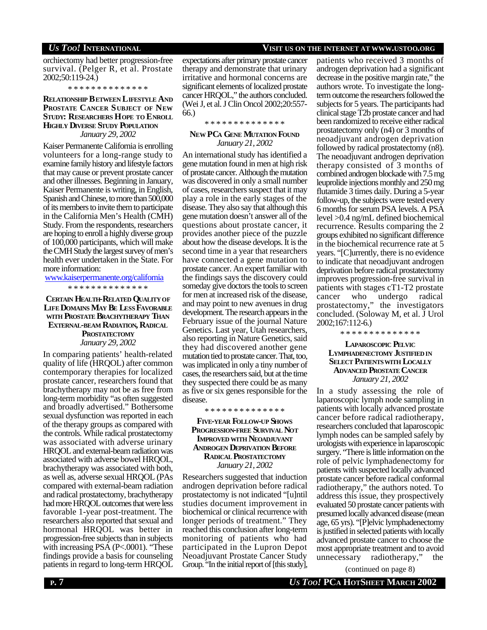### *US TOO!* **INTERNATIONAL VISIT US ON THE INTERNET AT WWW.USTOO.ORG**

orchiectomy had better progression-free survival. (Pelger R, et al. Prostate 2002;50:119-24.)

\* \* \* \* \* \* \* \* \* \* \* \* \* \*

### **RELATIONSHIP BETWEEN LIFESTYLE AND PROSTATE CANCER SUBJECT OF NEW STUDY: RESEARCHERS HOPE TO ENROLL HIGHLY DIVERSE STUDY POPULATION** *January 29, 2002*

Kaiser Permanente California is enrolling volunteers for a long-range study to examine family history and lifestyle factors that may cause or prevent prostate cancer and other illnesses. Beginning in January, Kaiser Permanente is writing, in English, Spanish and Chinese, to more than 500,000 of its members to invite them to participate in the California Men's Health (CMH) Study. From the respondents, researchers are hoping to enroll a highly diverse group of 100,000 participants, which will make the CMH Study the largest survey of men's health ever undertaken in the State. For more information:

www.kaiserpermanente.org/california \* \* \* \* \* \* \* \* \* \* \* \* \* \*

### **CERTAIN HEALTH-RELATED QUALITYOF LIFE DOMAINS MAY BE LESS FAVORABLE WITH PROSTATE BRACHYTHERAPY THAN EXTERNAL-BEAM RADIATION, RADICAL PROSTATECTOMY** *January 29, 2002*

In comparing patients' health-related quality of life (HRQOL) after common contemporary therapies for localized prostate cancer, researchers found that brachytherapy may not be as free from long-term morbidity "as often suggested and broadly advertised." Bothersome sexual dysfunction was reported in each of the therapy groups as compared with the controls. While radical prostatectomy was associated with adverse urinary HRQOL and external-beam radiation was associated with adverse bowel HRQOL, brachytherapy was associated with both, as well as, adverse sexual HRQOL (PAs compared with external-beam radiation and radical prostatectomy, brachytherapy had more HRQOL outcomes that were less favorable 1-year post-treatment. The researchers also reported that sexual and hormonal HRQOL was better in progression-free subjects than in subjects with increasing PSA (P<.0001). "These findings provide a basis for counseling patients in regard to long-term HRQOL expectations after primary prostate cancer therapy and demonstrate that urinary irritative and hormonal concerns are significant elements of localized prostate cancer HRQOL," the authors concluded. (Wei J, et al. J Clin Oncol 2002;20:557- 66.)

\* \* \* \* \* \* \* \* \* \* \* \* \*

### **NEW PCA GENE MUTATION FOUND** *January 21, 2002*

An international study has identified a gene mutation found in men at high risk of prostate cancer. Although the mutation was discovered in only a small number of cases, researchers suspect that it may play a role in the early stages of the disease. They also say that although this gene mutation doesn't answer all of the questions about prostate cancer, it provides another piece of the puzzle about how the disease develops. It is the second time in a year that researchers have connected a gene mutation to prostate cancer. An expert familiar with the findings says the discovery could someday give doctors the tools to screen for men at increased risk of the disease, and may point to new avenues in drug development. The research appears in the February issue of the journal Nature Genetics. Last year, Utah researchers, also reporting in Nature Genetics, said they had discovered another gene mutation tied to prostate cancer. That, too, was implicated in only a tiny number of cases, the researchers said, but at the time they suspected there could be as many as five or six genes responsible for the disease.

\* \* \* \* \* \* \* \* \* \* \* \* \* \*

### **FIVE-YEAR FOLLOW-UP SHOWS PROGRESSION-FREE SURVIVAL NOT IMPROVED WITH NEOADJUVANT ANDROGEN DEPRIVATION BEFORE RADICAL PROSTATECTOMY** *January 21, 2002*

Researchers suggested that induction androgen deprivation before radical prostatectomy is not indicated "[u]ntil studies document improvement in biochemical or clinical recurrence with longer periods of treatment." They reached this conclusion after long-term monitoring of patients who had participated in the Lupron Depot Neoadjuvant Prostate Cancer Study Group. "In the initial report of [this study],

patients who received 3 months of androgen deprivation had a significant decrease in the positive margin rate," the authors wrote. To investigate the longterm outcome the researchers followed the subjects for 5 years. The participants had clinical stage T2b prostate cancer and had been randomized to receive either radical prostatectomy only (n4) or 3 months of neoadjuvant androgen deprivation followed by radical prostatectomy (n8). The neoadjuvant androgen deprivation therapy consisted of 3 months of combined androgen blockade with 7.5 mg leuprolide injections monthly and 250 mg flutamide 3 times daily. During a 5-year follow-up, the subjects were tested every 6 months for serum PSA levels. A PSA level >0.4 ng/mL defined biochemical recurrence. Results comparing the 2 groups exhibited no significant difference in the biochemical recurrence rate at 5 years. "[C]urrently, there is no evidence to indicate that neoadjuvant androgen deprivation before radical prostatectomy improves progression-free survival in patients with stages cT1-T2 prostate cancer who undergo radical prostatectomy," the investigators concluded. (Soloway M, et al. J Urol 2002;167:112-6.)

**LAPAROSCOPIC PELVIC LYMPHADENECTOMY JUSTIFIED IN SELECT PATIENTSWITH LOCALLY ADVANCED PROSTATE CANCER** *January 21, 2002*

\* \* \* \* \* \* \* \* \* \* \* \* \* \*

In a study assessing the role of laparoscopic lymph node sampling in patients with locally advanced prostate cancer before radical radiotherapy, researchers concluded that laparoscopic lymph nodes can be sampled safely by urologists with experience in laparoscopic surgery. "There is little information on the role of pelvic lymphadenectomy for patients with suspected locally advanced prostate cancer before radical conformal radiotherapy," the authors noted. To address this issue, they prospectively evaluated 50 prostate cancer patients with presumed locally advanced disease (mean age, 65 yrs). "[P]elvic lymphadenectomy is justified in selected patients with locally advanced prostate cancer to choose the most appropriate treatment and to avoid unnecessary radiotherapy," the

(continued on page 8)